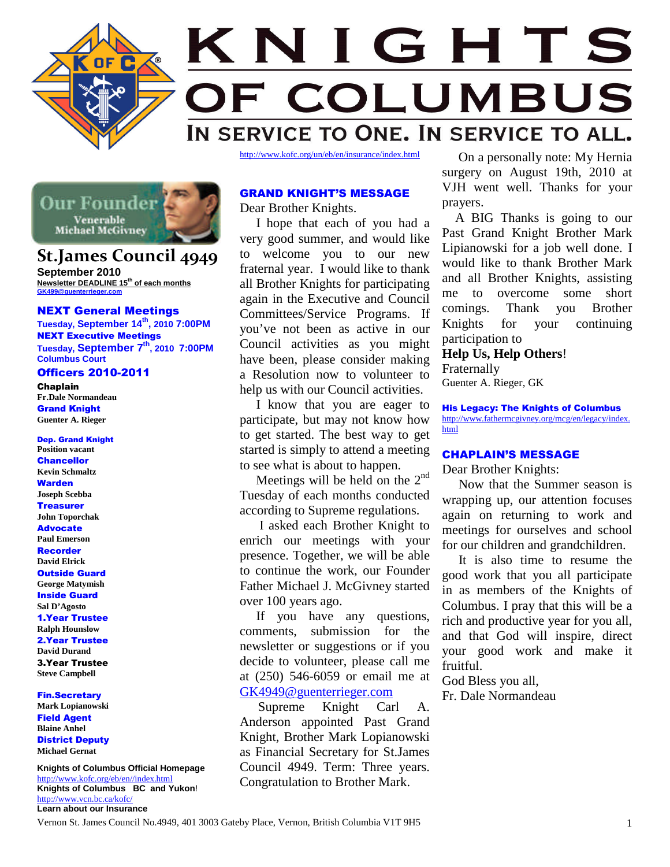



# **St.James Council 4949**

**September 2010 Newsletter DEADLINE 15th of each months GK499@guenterrieger.com**

## NEXT General Meetings

**Tuesday, September 14th , 2010 7:00PM** NEXT Executive Meetings **Tuesday, September 7th, 2010 7:00PM Columbus Court**

# Officers 2010-2011

Chaplain **Fr.Dale Normandeau** Grand Knight **Guenter A. Rieger**

Dep. Grand Knight **Position vacant Chancellor Kevin Schmaltz** Warden **Joseph Scebba Treasurer John Toporchak** Advocate **Paul Emerson** Recorder **David Elrick** Outside Guard **George Matymish** Inside Guard **Sal D'Agosto** 1.Year Trustee **Ralph Hounslow** 2.Year Trustee **David Durand** 3.Year Trustee **Steve Campbell**

Fin.Secretary **Mark Lopianowski** Field Agent **Blaine Anhel** District Deputy **Michael Gernat**

**Knights of Columbus Official Homepage** http://www.kofc.org/eb/en//index.html **Knights of Columbus BC and Yukon**! http://www.vcn.bc.ca/kofc/ **Learn about our Insurance**

# GRAND KNIGHT'S MESSAGE

Dear Brother Knights.

I hope that each of you had a very good summer, and would like to welcome you to our new fraternal year. I would like to thank all Brother Knights for participating again in the Executive and Council Committees/Service Programs. If comings you've not been as active in our Council activities as you might have been, please consider making a Resolution now to volunteer to help us with our Council activities.

I know that you are eager to participate, but may not know how to get started. The best way to get started is simply to attend a meeting to see what is about to happen.

Meetings will be held on the  $2<sup>nd</sup>$ Tuesday of each months conducted according to Supreme regulations.

I asked each Brother Knight to enrich our meetings with your presence. Together, we will be able to continue the work, our Founder Father Michael J. McGivney started over 100 years ago.

If you have any questions, comments, submission for the newsletter or suggestions or if you decide to volunteer, please call me at (250) 546-6059 or email me at GK4949@guenterrieger.com

Supreme Knight Carl A. Anderson appointed Past Grand Knight, Brother Mark Lopianowski as Financial Secretary for St.James Council 4949. Term: Three years. Congratulation to Brother Mark.

On a personally note: My Hernia surgery on August 19th, 2010 at VJH went well. Thanks for your prayers.

A BIG Thanks is going to our Past Grand Knight Brother Mark Lipianowski for a job well done. I would like to thank Brother Mark and all Brother Knights, assisting me to overcome some short comings. Thank you Brother for your continuing participation to

**Help Us, Help Others**! Fraternally Guenter A. Rieger, GK

His Legacy: The Knights of Columbus http://www.fathermcgivney.org/mcg/en/legacy/index. html

# CHAPLAIN'S MESSAGE

Dear Brother Knights:

Now that the Summer season is wrapping up, our attention focuses again on returning to work and meetings for ourselves and school for our children and grandchildren.

It is also time to resume the good work that you all participate in as members of the Knights of Columbus. I pray that this will be a rich and productive year for you all, and that God will inspire, direct your good work and make it fruitful.

God Bless you all, Fr. Dale Normandeau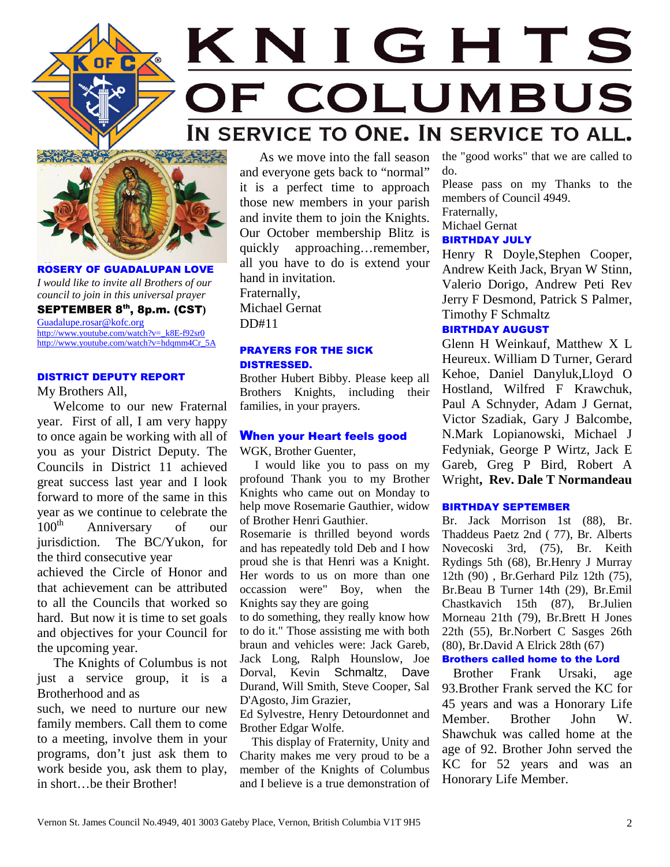

# KNIGHTS OF COLUMBUS IN SERVICE TO ONE. IN SERVICE TO ALL.



ROSERY OF GUADALUPAN LOVE *I would like to invite all Brothers of our council to join in this universal prayer* SEPTEMBER 8th, 8p.m. (CST**)** Guadalupe.rosar@kofc.org http://www.youtube.com/watch?v=\_k8E-f92sr0 http://www.youtube.com/watch?v=hdqmm4Cr\_5A

## DISTRICT DEPUTY REPORT

My Brothers All,

Welcome to our new Fraternal year. First of all, I am very happy to once again be working with all of you as your District Deputy. The Councils in District 11 achieved great success last year and I look forward to more of the same in this year as we continue to celebrate the<br> $100^{\text{th}}$  Anniversary of our Anniversary of our jurisdiction. The BC/Yukon, for the third consecutive year

achieved the Circle of Honor and that achievement can be attributed to all the Councils that worked so hard. But now it is time to set goals and objectives for your Council for the upcoming year.

The Knights of Columbus is not just a service group, it is a Brotherhood and as

such, we need to nurture our new family members. Call them to come to a meeting, involve them in your programs, don't just ask them to work beside you, ask them to play, in short…be their Brother!

As we move into the fall season and everyone gets back to "normal" it is a perfect time to approach those new members in your parish and invite them to join the Knights. Our October membership Blitz is quickly approaching…remember, all you have to do is extend your hand in invitation. Fraternally, Michael Gernat DD#11

# PRAYERS FOR THE SICK DISTRESSED.

Brother Hubert Bibby. Please keep all Brothers Knights, including their families, in your prayers.

## When your Heart feels good

WGK, Brother Guenter,

I would like you to pass on my profound Thank you to my Brother Knights who came out on Monday to help move Rosemarie Gauthier, widow of Brother Henri Gauthier.

Rosemarie is thrilled beyond words and has repeatedly told Deb and I how proud she is that Henri was a Knight. Her words to us on more than one occassion were" Boy, when the Knights say they are going

to do something, they really know how to do it." Those assisting me with both braun and vehicles were: Jack Gareb, Jack Long, Ralph Hounslow, Joe Dorval, Kevin Schmaltz, Dave Durand, Will Smith, Steve Cooper, Sal D'Agosto, Jim Grazier,

Ed Sylvestre, Henry Detourdonnet and Brother Edgar Wolfe.

This display of Fraternity, Unity and Charity makes me very proud to be a member of the Knights of Columbus and I believe is a true demonstration of

the "good works" that we are called to do.

Please pass on my Thanks to the members of Council 4949.

Fraternally,

Michael Gernat

# BIRTHDAY JULY

Henry R Doyle,Stephen Cooper, Andrew Keith Jack, Bryan W Stinn, Valerio Dorigo, Andrew Peti Rev Jerry F Desmond, Patrick S Palmer, Timothy F Schmaltz

# BIRTHDAY AUGUST

Glenn H Weinkauf, Matthew X L Heureux. William D Turner, Gerard Kehoe, Daniel Danyluk,Lloyd O Hostland, Wilfred F Krawchuk, Paul A Schnyder, Adam J Gernat, Victor Szadiak, Gary J Balcombe, N.Mark Lopianowski, Michael J Fedyniak, George P Wirtz, Jack E Gareb, Greg P Bird, Robert A Wright**, Rev. Dale T Normandeau**

# BIRTHDAY SEPTEMBER

Br. Jack Morrison 1st (88), Br. Thaddeus Paetz 2nd ( 77), Br. Alberts Novecoski 3rd, (75), Br. Keith Rydings 5th (68), Br.Henry J Murray 12th (90) , Br.Gerhard Pilz 12th (75), Br.Beau B Turner 14th (29), Br.Emil Chastkavich 15th (87), Br.Julien Morneau 21th (79), Br.Brett H Jones 22th (55), Br.Norbert C Sasges 26th (80), Br.David A Elrick 28th (67)

# Brothers called home to the Lord

Brother Frank Ursaki, age 93.Brother Frank served the KC for 45 years and was a Honorary Life Member. Brother John W. Shawchuk was called home at the age of 92. Brother John served the KC for 52 years and was an Honorary Life Member.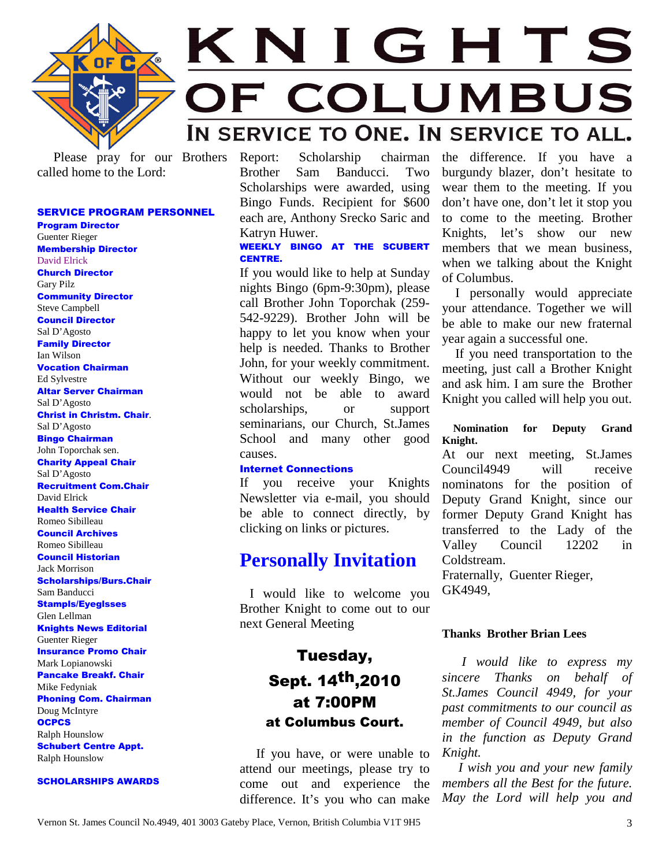

# KNIGHTS **COLUMBUS** OF IN SERVICE TO ONE. IN SERVICE TO ALL.

Please pray for our Brothers called home to the Lord:

# SERVICE PROGRAM PERSONNEL

Program Director Guenter Rieger Membership Director David Elrick Church Director Gary Pilz Community Director Steve Campbell Council Director Sal D'Agosto Family Director Ian Wilson Vocation Chairman Ed Sylvestre Altar Server Chairman Sal D'Agosto Christ in Christm. Chair. Sal D'Agosto Bingo Chairman John Toporchak sen. Charity Appeal Chair Sal D'Agosto Recruitment Com.Chair David Elrick Health Service Chair Romeo Sibilleau Council Archives Romeo Sibilleau Council Historian Jack Morrison Scholarships/Burs.Chair Sam Banducci Stampls/Eyeglsses Glen Lellman Knights News Editorial Guenter Rieger Insurance Promo Chair Mark Lopianowski Pancake Breakf. Chair Mike Fedyniak Phoning Com. Chairman Doug McIntyre **OCPCS** Ralph Hounslow Schubert Centre Appt. Ralph Hounslow

## SCHOLARSHIPS AWARDS

Report: Scholarship chairman Brother Sam Banducci. Two Scholarships were awarded, using Bingo Funds. Recipient for \$600 each are, Anthony Srecko Saric and Katryn Huwer.

# WEEKLY BINGO AT THE SCUBERT CENTRE.

If you would like to help at Sunday nights Bingo (6pm-9:30pm), please call Brother John Toporchak (259- 542-9229). Brother John will be happy to let you know when your help is needed. Thanks to Brother John, for your weekly commitment. Without our weekly Bingo, we would not be able to award scholarships, or support seminarians, our Church, St.James School and many other good causes.

## Internet Connections

If you receive your Knights Newsletter via e-mail, you should be able to connect directly, by clicking on links or pictures.

# **Personally Invitation**

I would like to welcome you Brother Knight to come out to our next General Meeting

# Tuesday, Sept. 14th,2010 at 7:00PM at Columbus Court.

If you have, or were unable to attend our meetings, please try to come out and experience the difference. It's you who can make the difference. If you have a burgundy blazer, don't hesitate to wear them to the meeting. If you don't have one, don't let it stop you to come to the meeting. Brother Knights, let's show our new members that we mean business, when we talking about the Knight of Columbus.

I personally would appreciate your attendance. Together we will be able to make our new fraternal year again a successful one.

If you need transportation to the meeting, just call a Brother Knight and ask him. I am sure the Brother Knight you called will help you out.

# **Nomination for Deputy Grand Knight.**

At our next meeting, St.James Council4949 will receive nominatons for the position of Deputy Grand Knight, since our former Deputy Grand Knight has transferred to the Lady of the Valley Council 12202 in Coldstream.

Fraternally, Guenter Rieger, GK4949,

# **Thanks Brother Brian Lees**

*I would like to express my sincere Thanks on behalf of St.James Council 4949, for your past commitments to our council as member of Council 4949, but also in the function as Deputy Grand Knight.*

*I wish you and your new family members all the Best for the future. May the Lord will help you and*